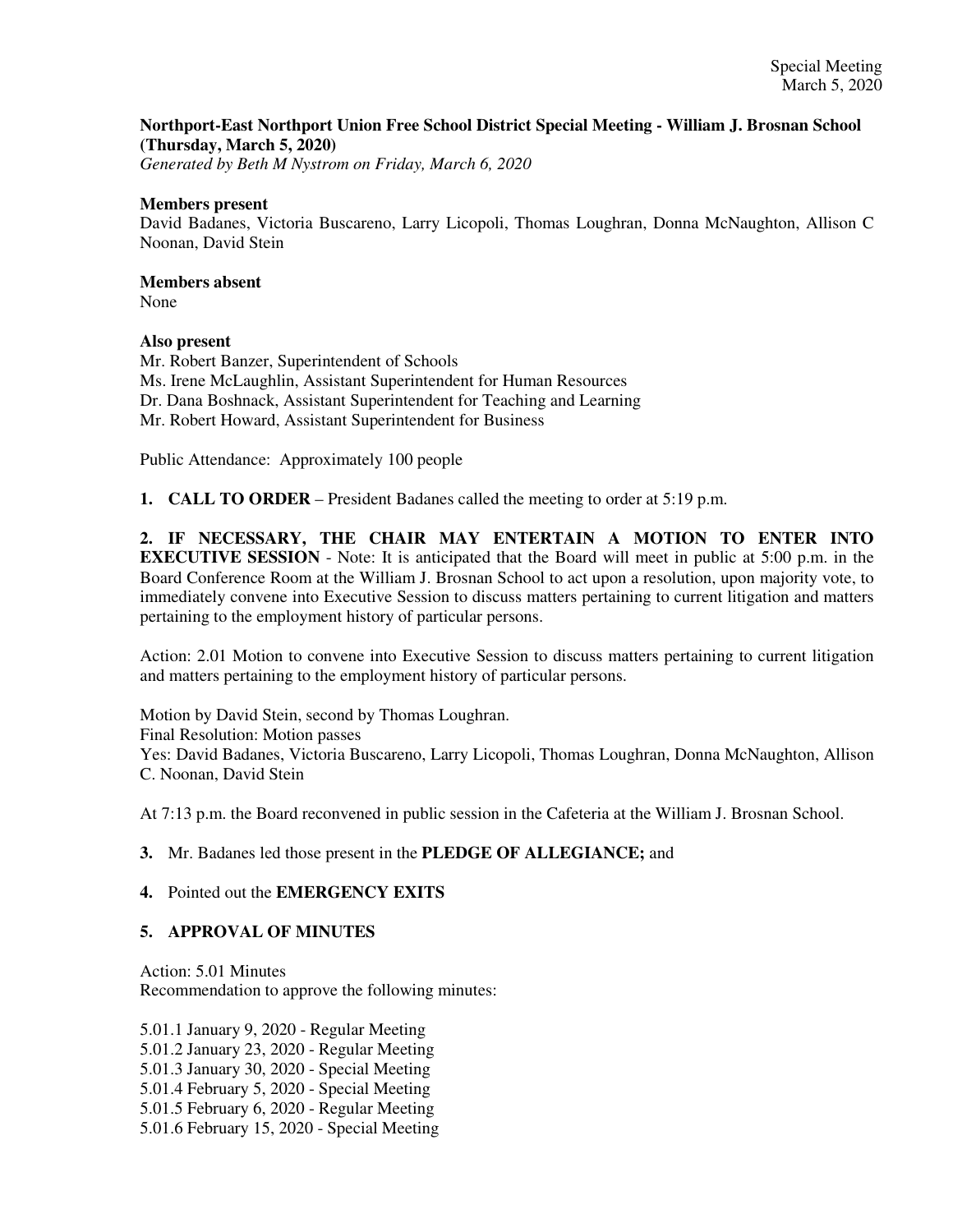## **Northport-East Northport Union Free School District Special Meeting - William J. Brosnan School (Thursday, March 5, 2020)**

*Generated by Beth M Nystrom on Friday, March 6, 2020*

### **Members present**

David Badanes, Victoria Buscareno, Larry Licopoli, Thomas Loughran, Donna McNaughton, Allison C Noonan, David Stein

# **Members absent**

None

## **Also present**

Mr. Robert Banzer, Superintendent of Schools Ms. Irene McLaughlin, Assistant Superintendent for Human Resources Dr. Dana Boshnack, Assistant Superintendent for Teaching and Learning Mr. Robert Howard, Assistant Superintendent for Business

Public Attendance: Approximately 100 people

**1. CALL TO ORDER** – President Badanes called the meeting to order at 5:19 p.m.

**2. IF NECESSARY, THE CHAIR MAY ENTERTAIN A MOTION TO ENTER INTO EXECUTIVE SESSION** - Note: It is anticipated that the Board will meet in public at 5:00 p.m. in the Board Conference Room at the William J. Brosnan School to act upon a resolution, upon majority vote, to immediately convene into Executive Session to discuss matters pertaining to current litigation and matters pertaining to the employment history of particular persons.

Action: 2.01 Motion to convene into Executive Session to discuss matters pertaining to current litigation and matters pertaining to the employment history of particular persons.

Motion by David Stein, second by Thomas Loughran. Final Resolution: Motion passes Yes: David Badanes, Victoria Buscareno, Larry Licopoli, Thomas Loughran, Donna McNaughton, Allison C. Noonan, David Stein

At 7:13 p.m. the Board reconvened in public session in the Cafeteria at the William J. Brosnan School.

## **3.** Mr. Badanes led those present in the **PLEDGE OF ALLEGIANCE;** and

## **4.** Pointed out the **EMERGENCY EXITS**

## **5. APPROVAL OF MINUTES**

Action: 5.01 Minutes Recommendation to approve the following minutes:

5.01.1 January 9, 2020 - Regular Meeting 5.01.2 January 23, 2020 - Regular Meeting 5.01.3 January 30, 2020 - Special Meeting 5.01.4 February 5, 2020 - Special Meeting 5.01.5 February 6, 2020 - Regular Meeting 5.01.6 February 15, 2020 - Special Meeting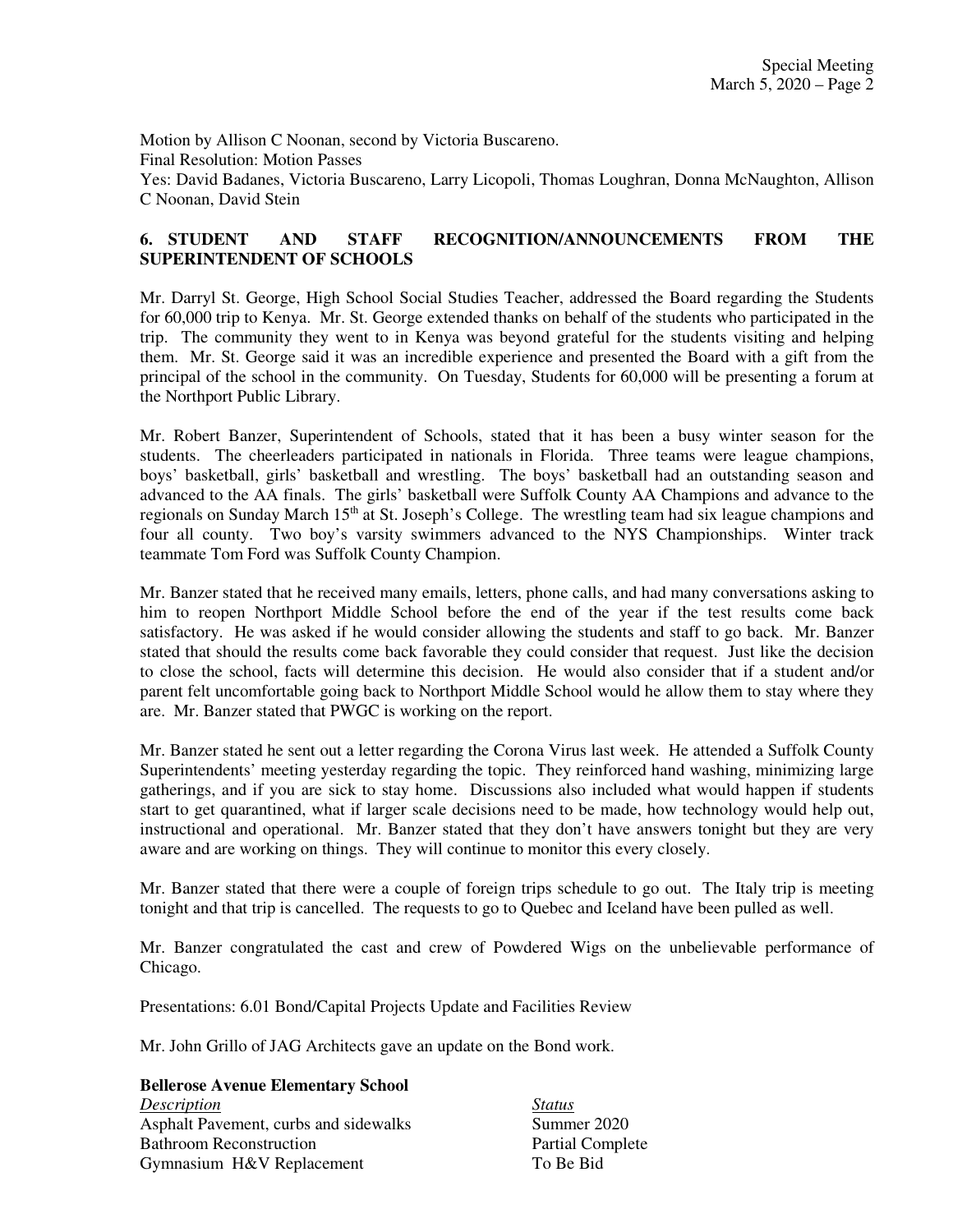Motion by Allison C Noonan, second by Victoria Buscareno. Final Resolution: Motion Passes Yes: David Badanes, Victoria Buscareno, Larry Licopoli, Thomas Loughran, Donna McNaughton, Allison C Noonan, David Stein

## **6. STUDENT AND STAFF RECOGNITION/ANNOUNCEMENTS FROM THE SUPERINTENDENT OF SCHOOLS**

Mr. Darryl St. George, High School Social Studies Teacher, addressed the Board regarding the Students for 60,000 trip to Kenya. Mr. St. George extended thanks on behalf of the students who participated in the trip. The community they went to in Kenya was beyond grateful for the students visiting and helping them. Mr. St. George said it was an incredible experience and presented the Board with a gift from the principal of the school in the community. On Tuesday, Students for 60,000 will be presenting a forum at the Northport Public Library.

Mr. Robert Banzer, Superintendent of Schools, stated that it has been a busy winter season for the students. The cheerleaders participated in nationals in Florida. Three teams were league champions, boys' basketball, girls' basketball and wrestling. The boys' basketball had an outstanding season and advanced to the AA finals. The girls' basketball were Suffolk County AA Champions and advance to the regionals on Sunday March 15<sup>th</sup> at St. Joseph's College. The wrestling team had six league champions and four all county. Two boy's varsity swimmers advanced to the NYS Championships. Winter track teammate Tom Ford was Suffolk County Champion.

Mr. Banzer stated that he received many emails, letters, phone calls, and had many conversations asking to him to reopen Northport Middle School before the end of the year if the test results come back satisfactory. He was asked if he would consider allowing the students and staff to go back. Mr. Banzer stated that should the results come back favorable they could consider that request. Just like the decision to close the school, facts will determine this decision. He would also consider that if a student and/or parent felt uncomfortable going back to Northport Middle School would he allow them to stay where they are. Mr. Banzer stated that PWGC is working on the report.

Mr. Banzer stated he sent out a letter regarding the Corona Virus last week. He attended a Suffolk County Superintendents' meeting yesterday regarding the topic. They reinforced hand washing, minimizing large gatherings, and if you are sick to stay home. Discussions also included what would happen if students start to get quarantined, what if larger scale decisions need to be made, how technology would help out, instructional and operational. Mr. Banzer stated that they don't have answers tonight but they are very aware and are working on things. They will continue to monitor this every closely.

Mr. Banzer stated that there were a couple of foreign trips schedule to go out. The Italy trip is meeting tonight and that trip is cancelled. The requests to go to Quebec and Iceland have been pulled as well.

Mr. Banzer congratulated the cast and crew of Powdered Wigs on the unbelievable performance of Chicago.

Presentations: 6.01 Bond/Capital Projects Update and Facilities Review

Mr. John Grillo of JAG Architects gave an update on the Bond work.

**Bellerose Avenue Elementary School**  *Description Status*  Asphalt Pavement, curbs and sidewalks Summer 2020 Bathroom Reconstruction **Partial Complete** Gymnasium H&V Replacement To Be Bid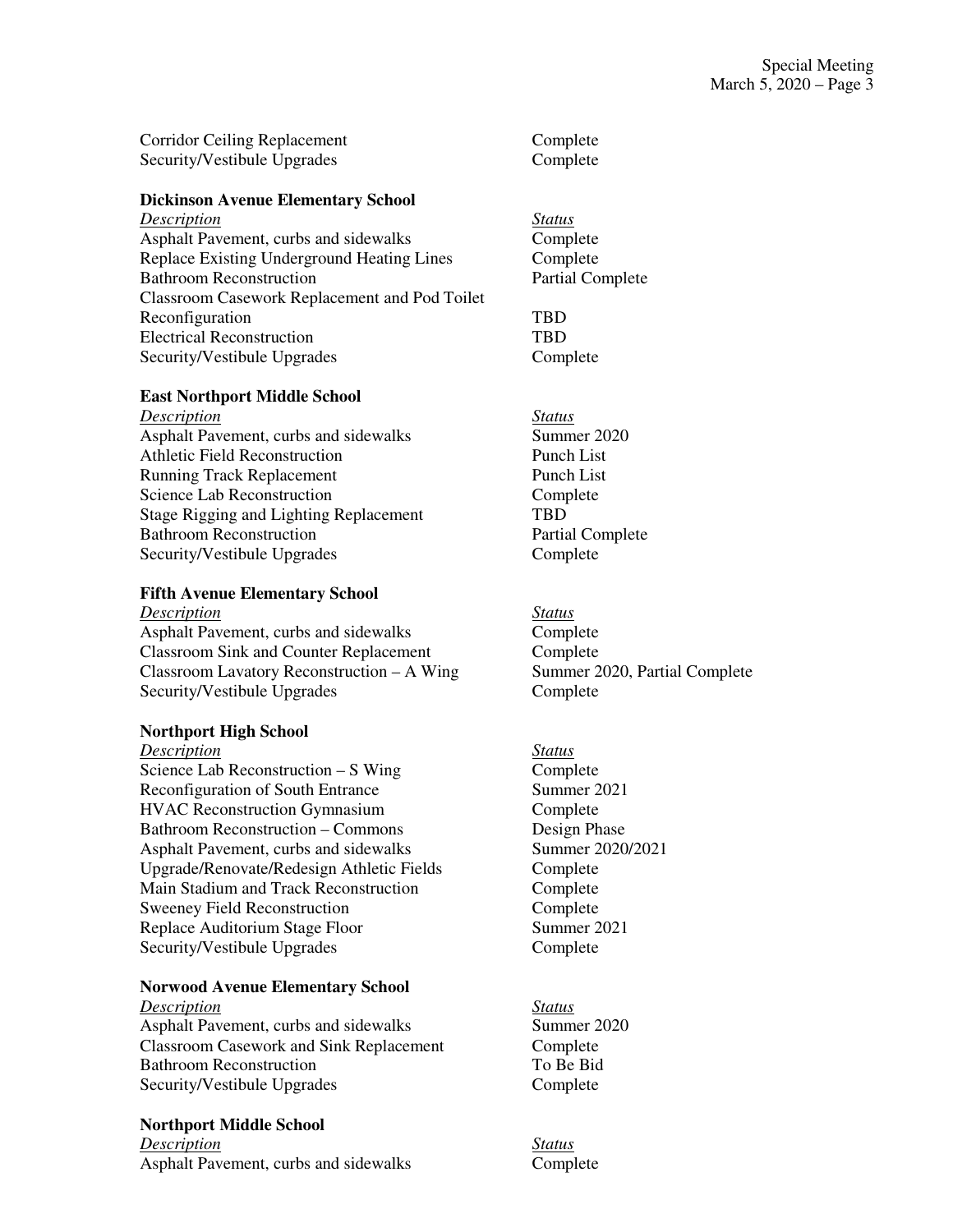| Corridor Ceiling Replacement | Complete |
|------------------------------|----------|
| Security/Vestibule Upgrades  | Complete |

### **Dickinson Avenue Elementary School**

*Description Status* Asphalt Pavement, curbs and sidewalks Complete Replace Existing Underground Heating Lines Complete Bathroom Reconstruction **Partial Complete** Classroom Casework Replacement and Pod Toilet Reconfiguration TBD Electrical Reconstruction TBD Security/Vestibule Upgrades Complete

#### **East Northport Middle School**

*Description Status* Asphalt Pavement, curbs and sidewalks Summer 2020 Athletic Field Reconstruction Punch List Running Track Replacement Punch List Science Lab Reconstruction Complete Stage Rigging and Lighting Replacement TBD Bathroom Reconstruction **Partial Complete** Security/Vestibule Upgrades Complete

### **Fifth Avenue Elementary School**

*Description Status* Asphalt Pavement, curbs and sidewalks Complete Classroom Sink and Counter Replacement Complete Classroom Lavatory Reconstruction – A Wing Summer 2020, Partial Complete Security/Vestibule Upgrades Complete

### **Northport High School**

*Description Status*

Science Lab Reconstruction – S Wing Complete Reconfiguration of South Entrance Summer 2021 HVAC Reconstruction Gymnasium Complete Bathroom Reconstruction – Commons Design Phase Asphalt Pavement, curbs and sidewalks Summer 2020/2021 Upgrade/Renovate/Redesign Athletic Fields Complete Main Stadium and Track Reconstruction Complete Sweeney Field Reconstruction Complete Replace Auditorium Stage Floor Summer 2021 Security/Vestibule Upgrades Complete

## **Norwood Avenue Elementary School**

## *Description Status*

Asphalt Pavement, curbs and sidewalks Summer 2020 Classroom Casework and Sink Replacement Complete Bathroom Reconstruction To Be Bid Security/Vestibule Upgrades Complete

### **Northport Middle School**

*Description Status* Asphalt Pavement, curbs and sidewalks Complete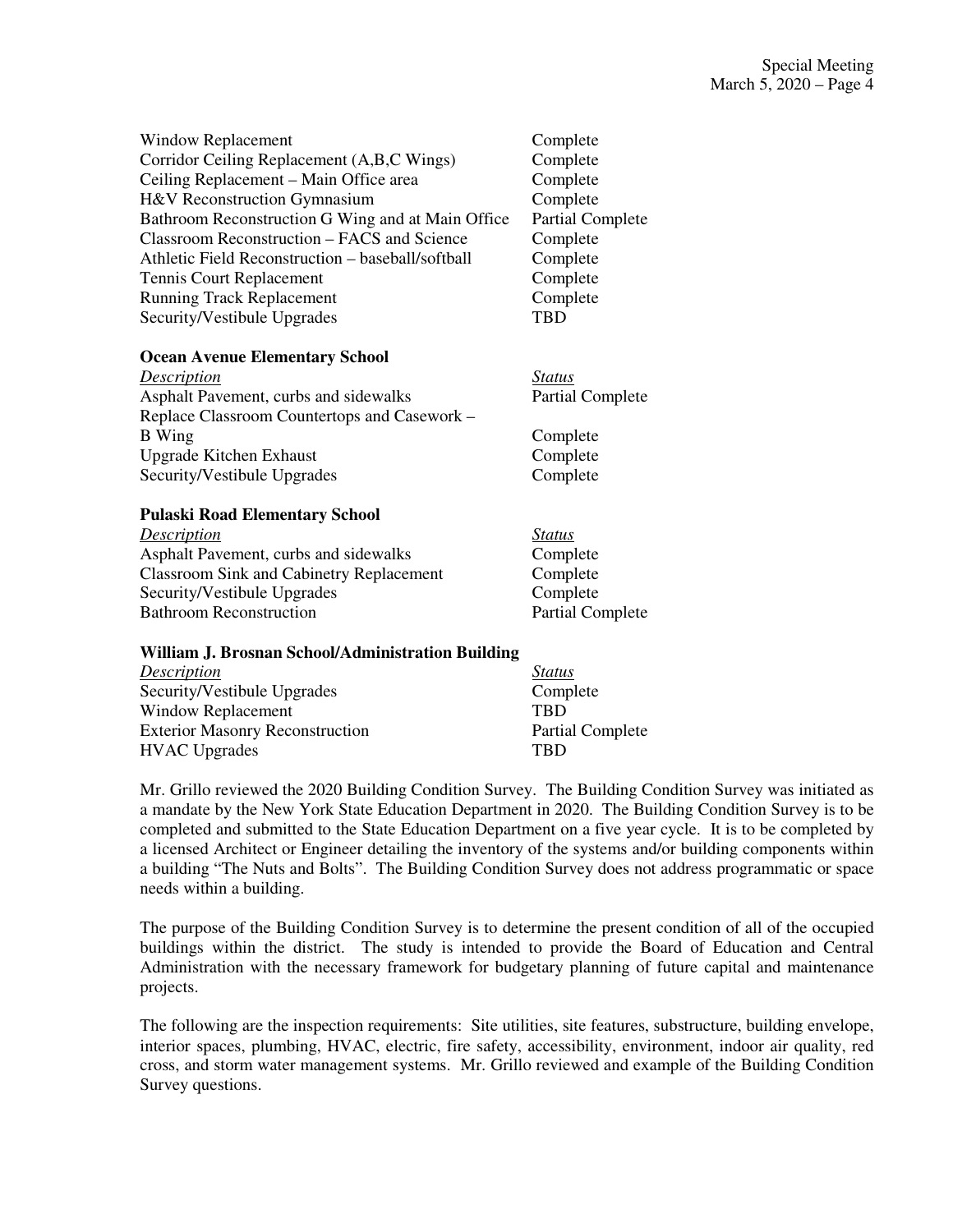| Window Replacement                                | Complete                |
|---------------------------------------------------|-------------------------|
| Corridor Ceiling Replacement (A,B,C Wings)        | Complete                |
| Ceiling Replacement – Main Office area            | Complete                |
| H&V Reconstruction Gymnasium                      | Complete                |
| Bathroom Reconstruction G Wing and at Main Office | <b>Partial Complete</b> |
| Classroom Reconstruction – FACS and Science       | Complete                |
| Athletic Field Reconstruction – baseball/softball | Complete                |
| Tennis Court Replacement                          | Complete                |
| <b>Running Track Replacement</b>                  | Complete                |
| Security/Vestibule Upgrades                       | <b>TBD</b>              |
| <b>Ocean Avenue Elementary School</b>             |                         |
| $D_{\text{nonline}}$                              | $C_{\frac{4}{2}}$       |

| Description                                  | <i>Status</i>           |
|----------------------------------------------|-------------------------|
| Asphalt Pavement, curbs and sidewalks        | <b>Partial Complete</b> |
| Replace Classroom Countertops and Casework – |                         |
| <b>B</b> Wing                                | Complete                |
| <b>Upgrade Kitchen Exhaust</b>               | Complete                |
| Security/Vestibule Upgrades                  | Complete                |

### **Pulaski Road Elementary School**

| Description                                     | <i>Status</i>           |
|-------------------------------------------------|-------------------------|
| Asphalt Pavement, curbs and sidewalks           | Complete                |
| <b>Classroom Sink and Cabinetry Replacement</b> | Complete                |
| Security/Vestibule Upgrades                     | Complete                |
| <b>Bathroom Reconstruction</b>                  | <b>Partial Complete</b> |

### **William J. Brosnan School/Administration Building**

| Description                            | <i>Status</i>           |
|----------------------------------------|-------------------------|
| Security/Vestibule Upgrades            | Complete                |
| Window Replacement                     | <b>TRD</b>              |
| <b>Exterior Masonry Reconstruction</b> | <b>Partial Complete</b> |
| <b>HVAC</b> Upgrades                   | <b>TBD</b>              |

Mr. Grillo reviewed the 2020 Building Condition Survey. The Building Condition Survey was initiated as a mandate by the New York State Education Department in 2020. The Building Condition Survey is to be completed and submitted to the State Education Department on a five year cycle. It is to be completed by a licensed Architect or Engineer detailing the inventory of the systems and/or building components within a building "The Nuts and Bolts". The Building Condition Survey does not address programmatic or space needs within a building.

The purpose of the Building Condition Survey is to determine the present condition of all of the occupied buildings within the district. The study is intended to provide the Board of Education and Central Administration with the necessary framework for budgetary planning of future capital and maintenance projects.

The following are the inspection requirements: Site utilities, site features, substructure, building envelope, interior spaces, plumbing, HVAC, electric, fire safety, accessibility, environment, indoor air quality, red cross, and storm water management systems. Mr. Grillo reviewed and example of the Building Condition Survey questions.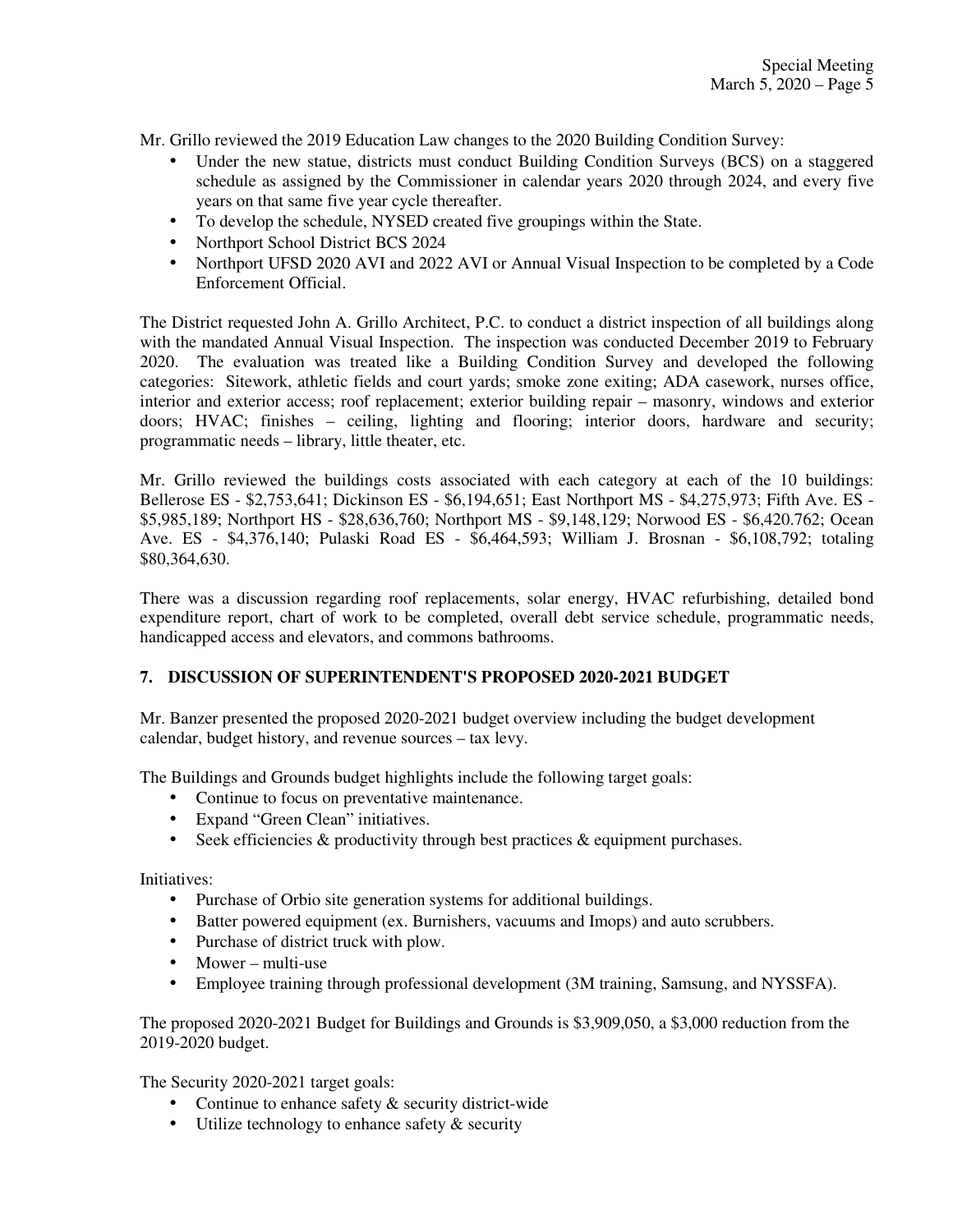Mr. Grillo reviewed the 2019 Education Law changes to the 2020 Building Condition Survey:

- Under the new statue, districts must conduct Building Condition Surveys (BCS) on a staggered schedule as assigned by the Commissioner in calendar years 2020 through 2024, and every five years on that same five year cycle thereafter.
- To develop the schedule, NYSED created five groupings within the State.
- Northport School District BCS 2024
- Northport UFSD 2020 AVI and 2022 AVI or Annual Visual Inspection to be completed by a Code Enforcement Official.

The District requested John A. Grillo Architect, P.C. to conduct a district inspection of all buildings along with the mandated Annual Visual Inspection. The inspection was conducted December 2019 to February 2020. The evaluation was treated like a Building Condition Survey and developed the following categories: Sitework, athletic fields and court yards; smoke zone exiting; ADA casework, nurses office, interior and exterior access; roof replacement; exterior building repair – masonry, windows and exterior doors; HVAC; finishes – ceiling, lighting and flooring; interior doors, hardware and security; programmatic needs – library, little theater, etc.

Mr. Grillo reviewed the buildings costs associated with each category at each of the 10 buildings: Bellerose ES - \$2,753,641; Dickinson ES - \$6,194,651; East Northport MS - \$4,275,973; Fifth Ave. ES - \$5,985,189; Northport HS - \$28,636,760; Northport MS - \$9,148,129; Norwood ES - \$6,420.762; Ocean Ave. ES - \$4,376,140; Pulaski Road ES - \$6,464,593; William J. Brosnan - \$6,108,792; totaling \$80,364,630.

There was a discussion regarding roof replacements, solar energy, HVAC refurbishing, detailed bond expenditure report, chart of work to be completed, overall debt service schedule, programmatic needs, handicapped access and elevators, and commons bathrooms.

## **7. DISCUSSION OF SUPERINTENDENT'S PROPOSED 2020-2021 BUDGET**

Mr. Banzer presented the proposed 2020-2021 budget overview including the budget development calendar, budget history, and revenue sources – tax levy.

The Buildings and Grounds budget highlights include the following target goals:

- Continue to focus on preventative maintenance.
- Expand "Green Clean" initiatives.
- Seek efficiencies  $\&$  productivity through best practices  $\&$  equipment purchases.

Initiatives:

- Purchase of Orbio site generation systems for additional buildings.
- Batter powered equipment (ex. Burnishers, vacuums and Imops) and auto scrubbers.
- Purchase of district truck with plow.
- Mower multi-use
- Employee training through professional development (3M training, Samsung, and NYSSFA).

The proposed 2020-2021 Budget for Buildings and Grounds is \$3,909,050, a \$3,000 reduction from the 2019-2020 budget.

The Security 2020-2021 target goals:

- Continue to enhance safety & security district-wide
- Utilize technology to enhance safety & security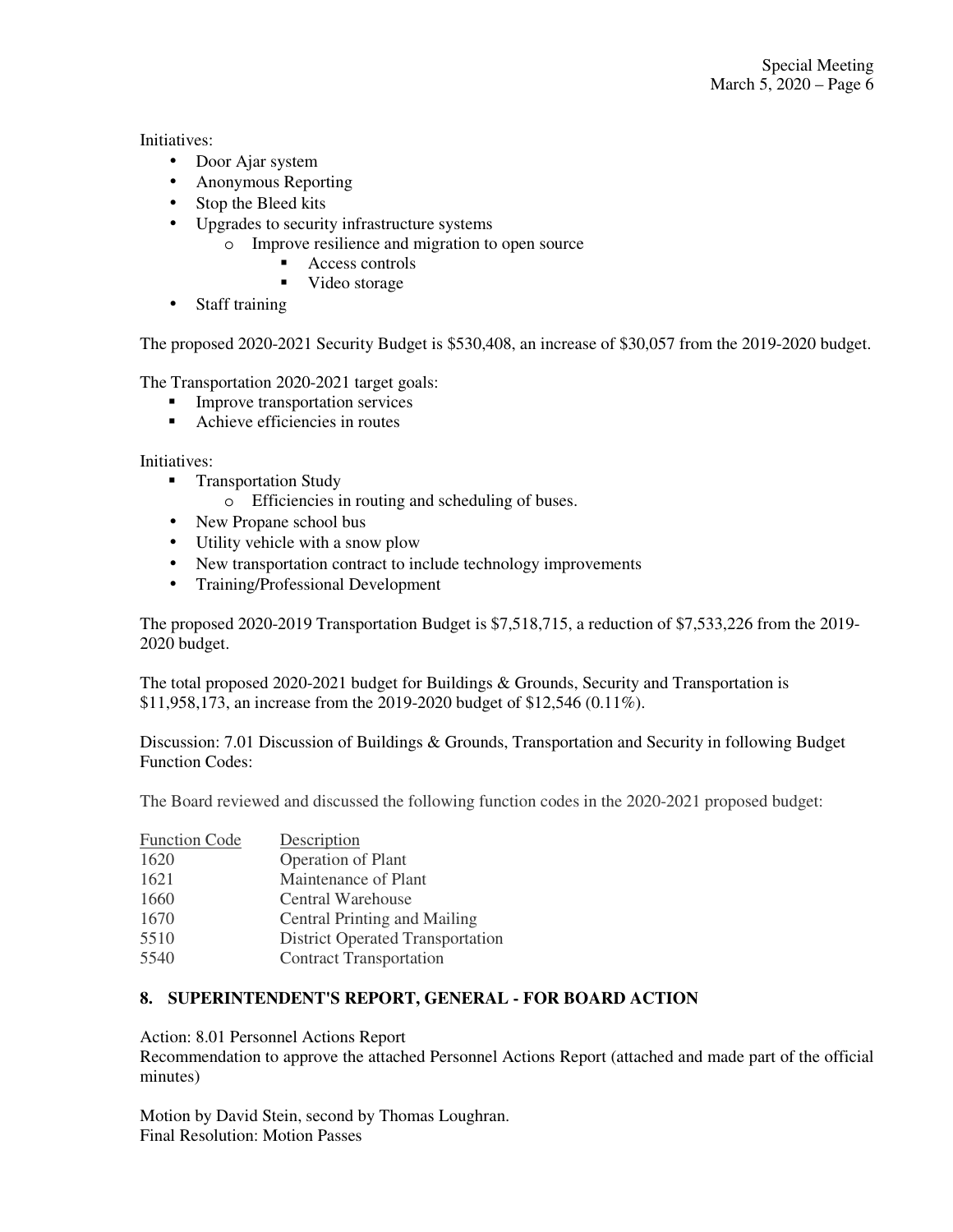Initiatives:

- Door Ajar system
- Anonymous Reporting
- Stop the Bleed kits
- Upgrades to security infrastructure systems
	- o Improve resilience and migration to open source
		- Access controls
		- Video storage
- Staff training

The proposed 2020-2021 Security Budget is \$530,408, an increase of \$30,057 from the 2019-2020 budget.

The Transportation 2020-2021 target goals:

- **Improve transportation services**
- Achieve efficiencies in routes

Initiatives:

- **Transportation Study** 
	- o Efficiencies in routing and scheduling of buses.
- New Propane school bus
- Utility vehicle with a snow plow
- New transportation contract to include technology improvements
- Training/Professional Development

The proposed 2020-2019 Transportation Budget is \$7,518,715, a reduction of \$7,533,226 from the 2019- 2020 budget.

The total proposed 2020-2021 budget for Buildings & Grounds, Security and Transportation is \$11,958,173, an increase from the 2019-2020 budget of \$12,546 (0.11%).

Discussion: 7.01 Discussion of Buildings & Grounds, Transportation and Security in following Budget Function Codes:

The Board reviewed and discussed the following function codes in the 2020-2021 proposed budget:

| <b>Function Code</b> | Description                             |
|----------------------|-----------------------------------------|
| 1620                 | <b>Operation of Plant</b>               |
| 1621                 | Maintenance of Plant                    |
| 1660                 | Central Warehouse                       |
| 1670                 | <b>Central Printing and Mailing</b>     |
| 5510                 | <b>District Operated Transportation</b> |
| 5540                 | <b>Contract Transportation</b>          |

## **8. SUPERINTENDENT'S REPORT, GENERAL - FOR BOARD ACTION**

Action: 8.01 Personnel Actions Report

Recommendation to approve the attached Personnel Actions Report (attached and made part of the official minutes)

Motion by David Stein, second by Thomas Loughran. Final Resolution: Motion Passes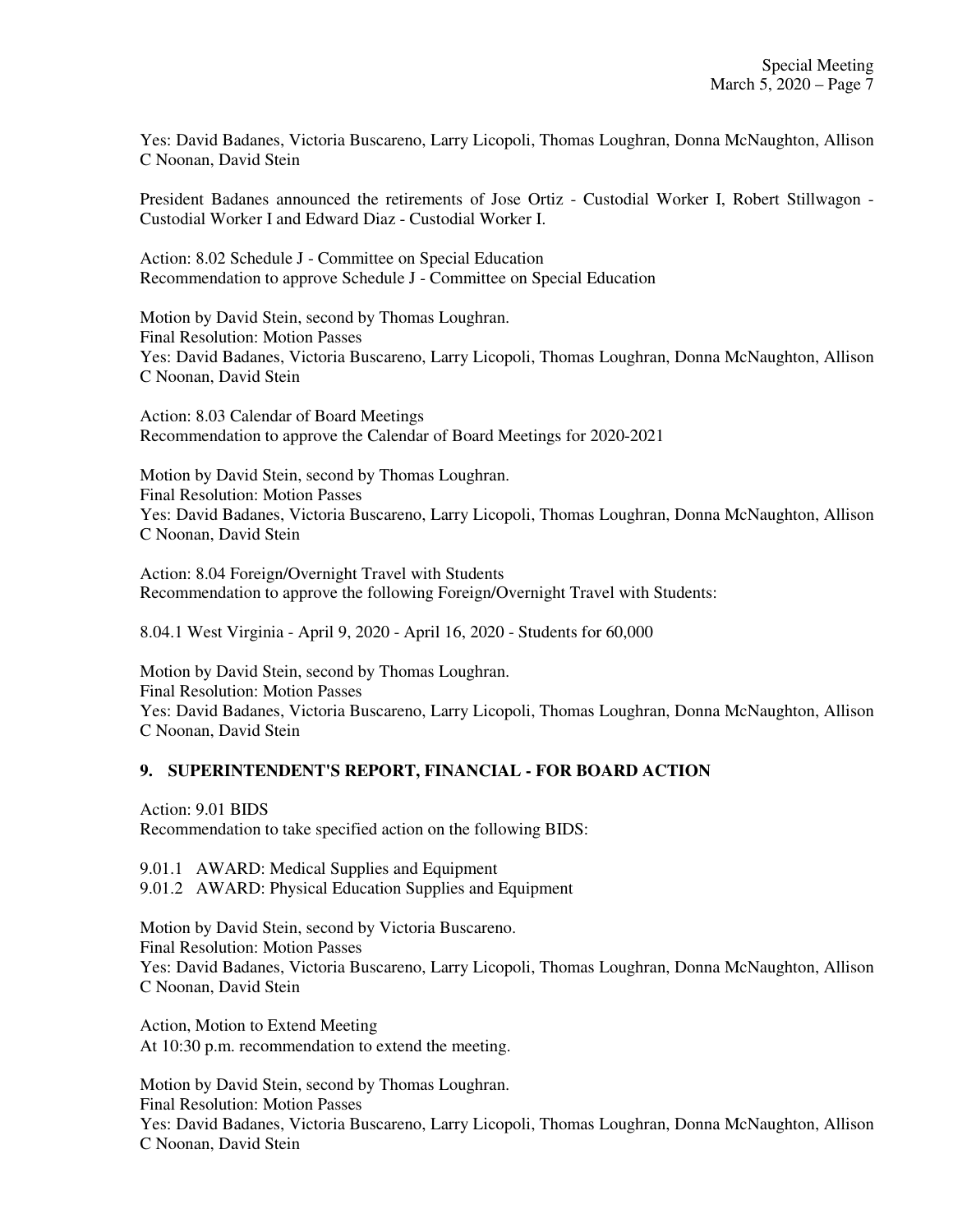Yes: David Badanes, Victoria Buscareno, Larry Licopoli, Thomas Loughran, Donna McNaughton, Allison C Noonan, David Stein

President Badanes announced the retirements of Jose Ortiz - Custodial Worker I, Robert Stillwagon - Custodial Worker I and Edward Diaz - Custodial Worker I.

Action: 8.02 Schedule J - Committee on Special Education Recommendation to approve Schedule J - Committee on Special Education

Motion by David Stein, second by Thomas Loughran. Final Resolution: Motion Passes Yes: David Badanes, Victoria Buscareno, Larry Licopoli, Thomas Loughran, Donna McNaughton, Allison C Noonan, David Stein

Action: 8.03 Calendar of Board Meetings Recommendation to approve the Calendar of Board Meetings for 2020-2021

Motion by David Stein, second by Thomas Loughran. Final Resolution: Motion Passes Yes: David Badanes, Victoria Buscareno, Larry Licopoli, Thomas Loughran, Donna McNaughton, Allison C Noonan, David Stein

Action: 8.04 Foreign/Overnight Travel with Students Recommendation to approve the following Foreign/Overnight Travel with Students:

8.04.1 West Virginia - April 9, 2020 - April 16, 2020 - Students for 60,000

Motion by David Stein, second by Thomas Loughran. Final Resolution: Motion Passes Yes: David Badanes, Victoria Buscareno, Larry Licopoli, Thomas Loughran, Donna McNaughton, Allison C Noonan, David Stein

## **9. SUPERINTENDENT'S REPORT, FINANCIAL - FOR BOARD ACTION**

Action: 9.01 BIDS Recommendation to take specified action on the following BIDS:

9.01.1 AWARD: Medical Supplies and Equipment 9.01.2 AWARD: Physical Education Supplies and Equipment

Motion by David Stein, second by Victoria Buscareno. Final Resolution: Motion Passes Yes: David Badanes, Victoria Buscareno, Larry Licopoli, Thomas Loughran, Donna McNaughton, Allison C Noonan, David Stein

Action, Motion to Extend Meeting At 10:30 p.m. recommendation to extend the meeting.

Motion by David Stein, second by Thomas Loughran. Final Resolution: Motion Passes Yes: David Badanes, Victoria Buscareno, Larry Licopoli, Thomas Loughran, Donna McNaughton, Allison C Noonan, David Stein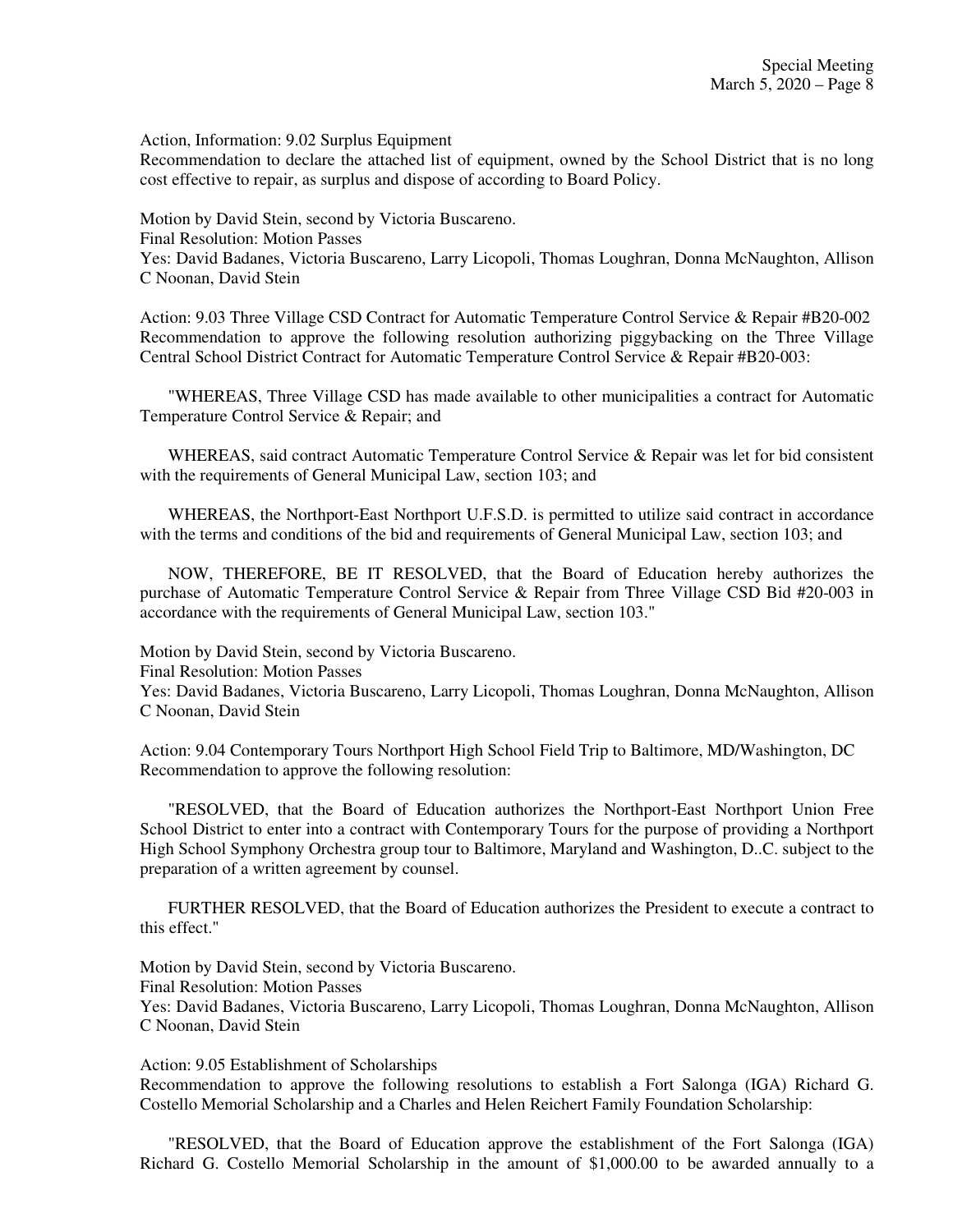Action, Information: 9.02 Surplus Equipment

Recommendation to declare the attached list of equipment, owned by the School District that is no long cost effective to repair, as surplus and dispose of according to Board Policy.

Motion by David Stein, second by Victoria Buscareno. Final Resolution: Motion Passes Yes: David Badanes, Victoria Buscareno, Larry Licopoli, Thomas Loughran, Donna McNaughton, Allison C Noonan, David Stein

Action: 9.03 Three Village CSD Contract for Automatic Temperature Control Service & Repair #B20-002 Recommendation to approve the following resolution authorizing piggybacking on the Three Village Central School District Contract for Automatic Temperature Control Service & Repair #B20-003:

"WHEREAS, Three Village CSD has made available to other municipalities a contract for Automatic Temperature Control Service & Repair; and

WHEREAS, said contract Automatic Temperature Control Service & Repair was let for bid consistent with the requirements of General Municipal Law, section 103; and

WHEREAS, the Northport-East Northport U.F.S.D. is permitted to utilize said contract in accordance with the terms and conditions of the bid and requirements of General Municipal Law, section 103; and

NOW, THEREFORE, BE IT RESOLVED, that the Board of Education hereby authorizes the purchase of Automatic Temperature Control Service & Repair from Three Village CSD Bid #20-003 in accordance with the requirements of General Municipal Law, section 103."

Motion by David Stein, second by Victoria Buscareno.

Final Resolution: Motion Passes

Yes: David Badanes, Victoria Buscareno, Larry Licopoli, Thomas Loughran, Donna McNaughton, Allison C Noonan, David Stein

Action: 9.04 Contemporary Tours Northport High School Field Trip to Baltimore, MD/Washington, DC Recommendation to approve the following resolution:

"RESOLVED, that the Board of Education authorizes the Northport-East Northport Union Free School District to enter into a contract with Contemporary Tours for the purpose of providing a Northport High School Symphony Orchestra group tour to Baltimore, Maryland and Washington, D..C. subject to the preparation of a written agreement by counsel.

FURTHER RESOLVED, that the Board of Education authorizes the President to execute a contract to this effect."

Motion by David Stein, second by Victoria Buscareno. Final Resolution: Motion Passes Yes: David Badanes, Victoria Buscareno, Larry Licopoli, Thomas Loughran, Donna McNaughton, Allison C Noonan, David Stein

Action: 9.05 Establishment of Scholarships Recommendation to approve the following resolutions to establish a Fort Salonga (IGA) Richard G. Costello Memorial Scholarship and a Charles and Helen Reichert Family Foundation Scholarship:

"RESOLVED, that the Board of Education approve the establishment of the Fort Salonga (IGA) Richard G. Costello Memorial Scholarship in the amount of \$1,000.00 to be awarded annually to a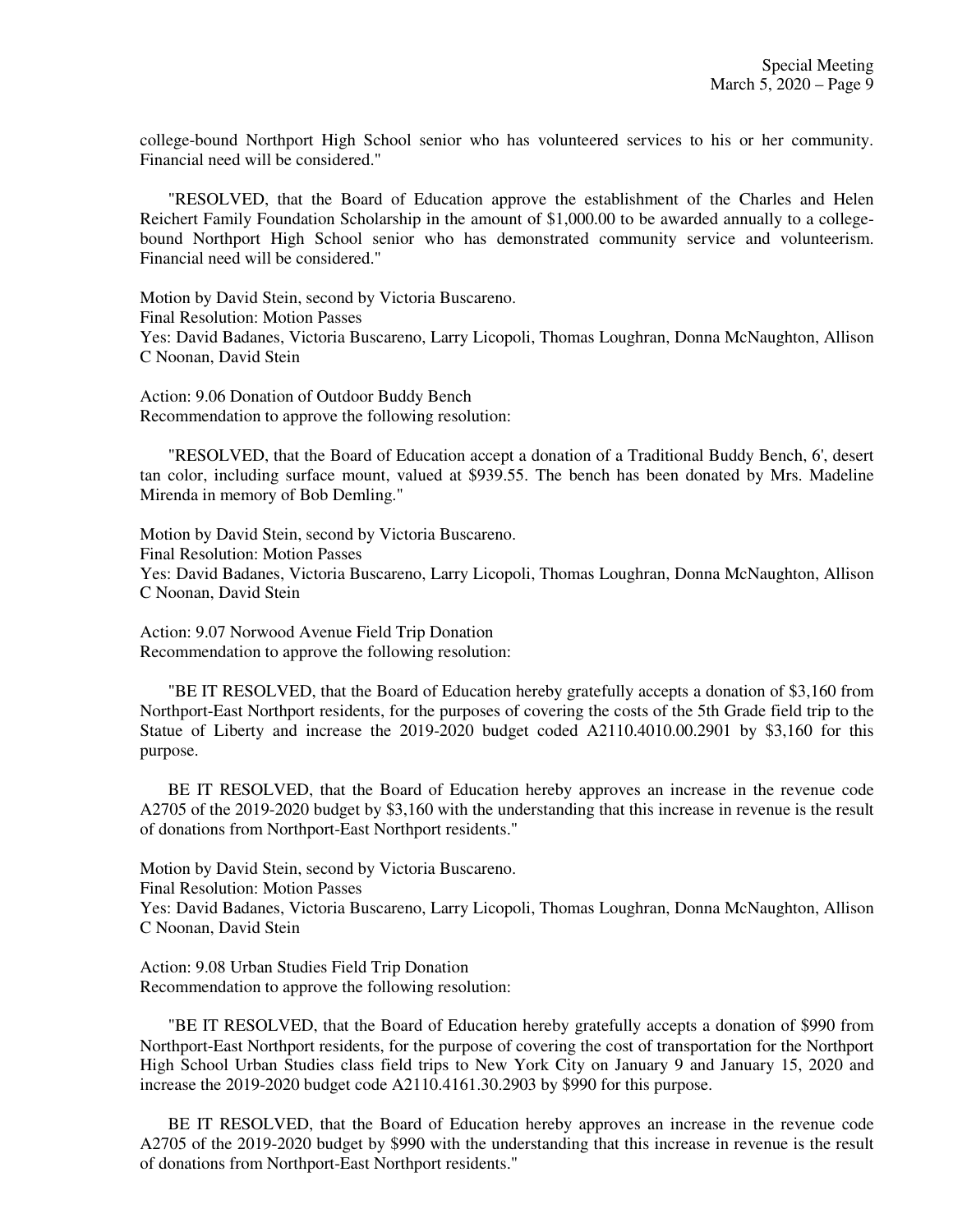college-bound Northport High School senior who has volunteered services to his or her community. Financial need will be considered."

"RESOLVED, that the Board of Education approve the establishment of the Charles and Helen Reichert Family Foundation Scholarship in the amount of \$1,000.00 to be awarded annually to a collegebound Northport High School senior who has demonstrated community service and volunteerism. Financial need will be considered."

Motion by David Stein, second by Victoria Buscareno. Final Resolution: Motion Passes Yes: David Badanes, Victoria Buscareno, Larry Licopoli, Thomas Loughran, Donna McNaughton, Allison C Noonan, David Stein

Action: 9.06 Donation of Outdoor Buddy Bench Recommendation to approve the following resolution:

"RESOLVED, that the Board of Education accept a donation of a Traditional Buddy Bench, 6', desert tan color, including surface mount, valued at \$939.55. The bench has been donated by Mrs. Madeline Mirenda in memory of Bob Demling."

Motion by David Stein, second by Victoria Buscareno. Final Resolution: Motion Passes Yes: David Badanes, Victoria Buscareno, Larry Licopoli, Thomas Loughran, Donna McNaughton, Allison C Noonan, David Stein

Action: 9.07 Norwood Avenue Field Trip Donation Recommendation to approve the following resolution:

"BE IT RESOLVED, that the Board of Education hereby gratefully accepts a donation of \$3,160 from Northport-East Northport residents, for the purposes of covering the costs of the 5th Grade field trip to the Statue of Liberty and increase the 2019-2020 budget coded A2110.4010.00.2901 by \$3,160 for this purpose.

BE IT RESOLVED, that the Board of Education hereby approves an increase in the revenue code A2705 of the 2019-2020 budget by \$3,160 with the understanding that this increase in revenue is the result of donations from Northport-East Northport residents."

Motion by David Stein, second by Victoria Buscareno. Final Resolution: Motion Passes Yes: David Badanes, Victoria Buscareno, Larry Licopoli, Thomas Loughran, Donna McNaughton, Allison C Noonan, David Stein

Action: 9.08 Urban Studies Field Trip Donation Recommendation to approve the following resolution:

"BE IT RESOLVED, that the Board of Education hereby gratefully accepts a donation of \$990 from Northport-East Northport residents, for the purpose of covering the cost of transportation for the Northport High School Urban Studies class field trips to New York City on January 9 and January 15, 2020 and increase the 2019-2020 budget code A2110.4161.30.2903 by \$990 for this purpose.

BE IT RESOLVED, that the Board of Education hereby approves an increase in the revenue code A2705 of the 2019-2020 budget by \$990 with the understanding that this increase in revenue is the result of donations from Northport-East Northport residents."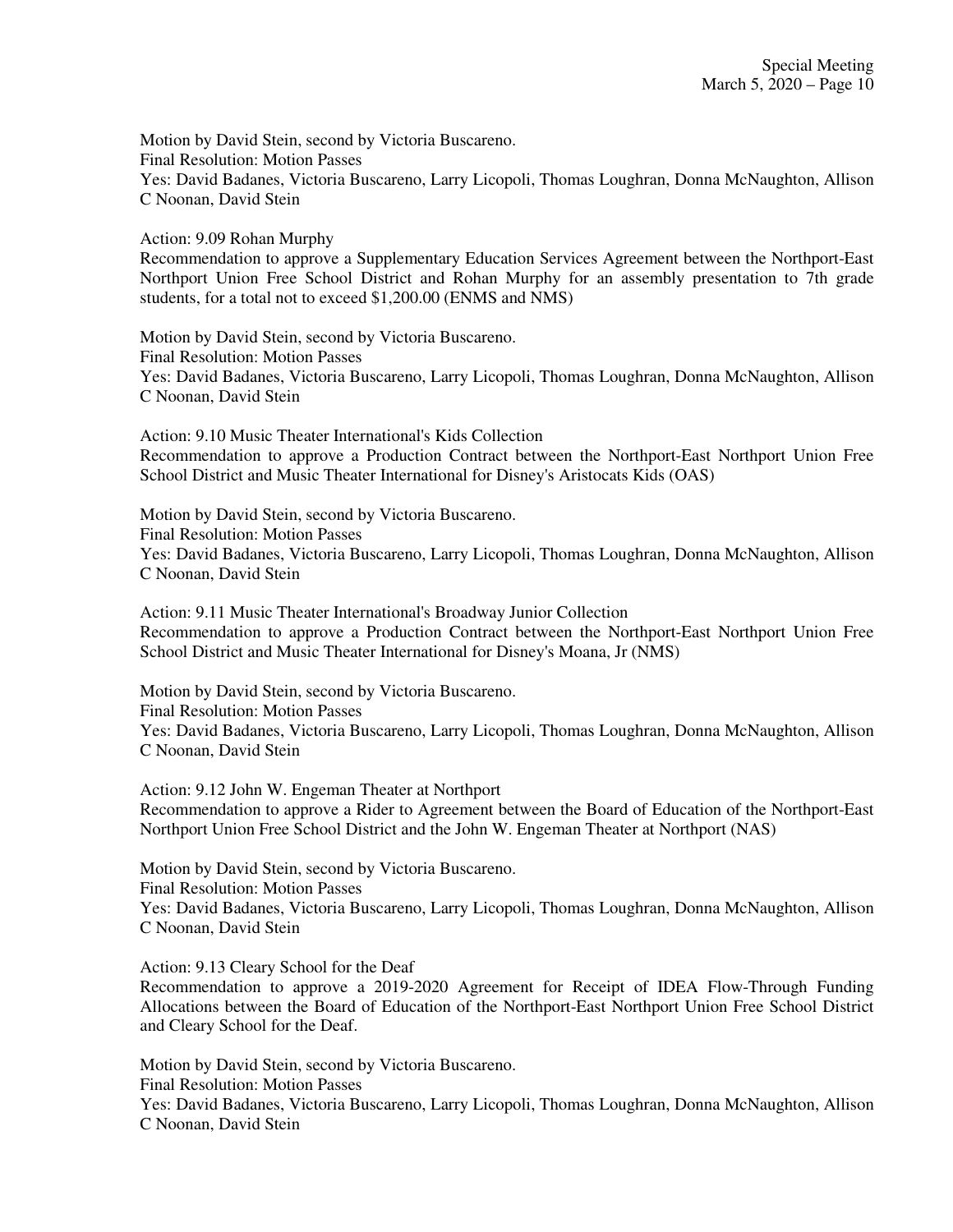Motion by David Stein, second by Victoria Buscareno. Final Resolution: Motion Passes Yes: David Badanes, Victoria Buscareno, Larry Licopoli, Thomas Loughran, Donna McNaughton, Allison C Noonan, David Stein

Action: 9.09 Rohan Murphy

Recommendation to approve a Supplementary Education Services Agreement between the Northport-East Northport Union Free School District and Rohan Murphy for an assembly presentation to 7th grade students, for a total not to exceed \$1,200.00 (ENMS and NMS)

Motion by David Stein, second by Victoria Buscareno. Final Resolution: Motion Passes Yes: David Badanes, Victoria Buscareno, Larry Licopoli, Thomas Loughran, Donna McNaughton, Allison C Noonan, David Stein

Action: 9.10 Music Theater International's Kids Collection Recommendation to approve a Production Contract between the Northport-East Northport Union Free School District and Music Theater International for Disney's Aristocats Kids (OAS)

Motion by David Stein, second by Victoria Buscareno. Final Resolution: Motion Passes Yes: David Badanes, Victoria Buscareno, Larry Licopoli, Thomas Loughran, Donna McNaughton, Allison C Noonan, David Stein

Action: 9.11 Music Theater International's Broadway Junior Collection Recommendation to approve a Production Contract between the Northport-East Northport Union Free School District and Music Theater International for Disney's Moana, Jr (NMS)

Motion by David Stein, second by Victoria Buscareno. Final Resolution: Motion Passes Yes: David Badanes, Victoria Buscareno, Larry Licopoli, Thomas Loughran, Donna McNaughton, Allison C Noonan, David Stein

Action: 9.12 John W. Engeman Theater at Northport Recommendation to approve a Rider to Agreement between the Board of Education of the Northport-East Northport Union Free School District and the John W. Engeman Theater at Northport (NAS)

Motion by David Stein, second by Victoria Buscareno. Final Resolution: Motion Passes Yes: David Badanes, Victoria Buscareno, Larry Licopoli, Thomas Loughran, Donna McNaughton, Allison C Noonan, David Stein

Action: 9.13 Cleary School for the Deaf

Recommendation to approve a 2019-2020 Agreement for Receipt of IDEA Flow-Through Funding Allocations between the Board of Education of the Northport-East Northport Union Free School District and Cleary School for the Deaf.

Motion by David Stein, second by Victoria Buscareno. Final Resolution: Motion Passes Yes: David Badanes, Victoria Buscareno, Larry Licopoli, Thomas Loughran, Donna McNaughton, Allison C Noonan, David Stein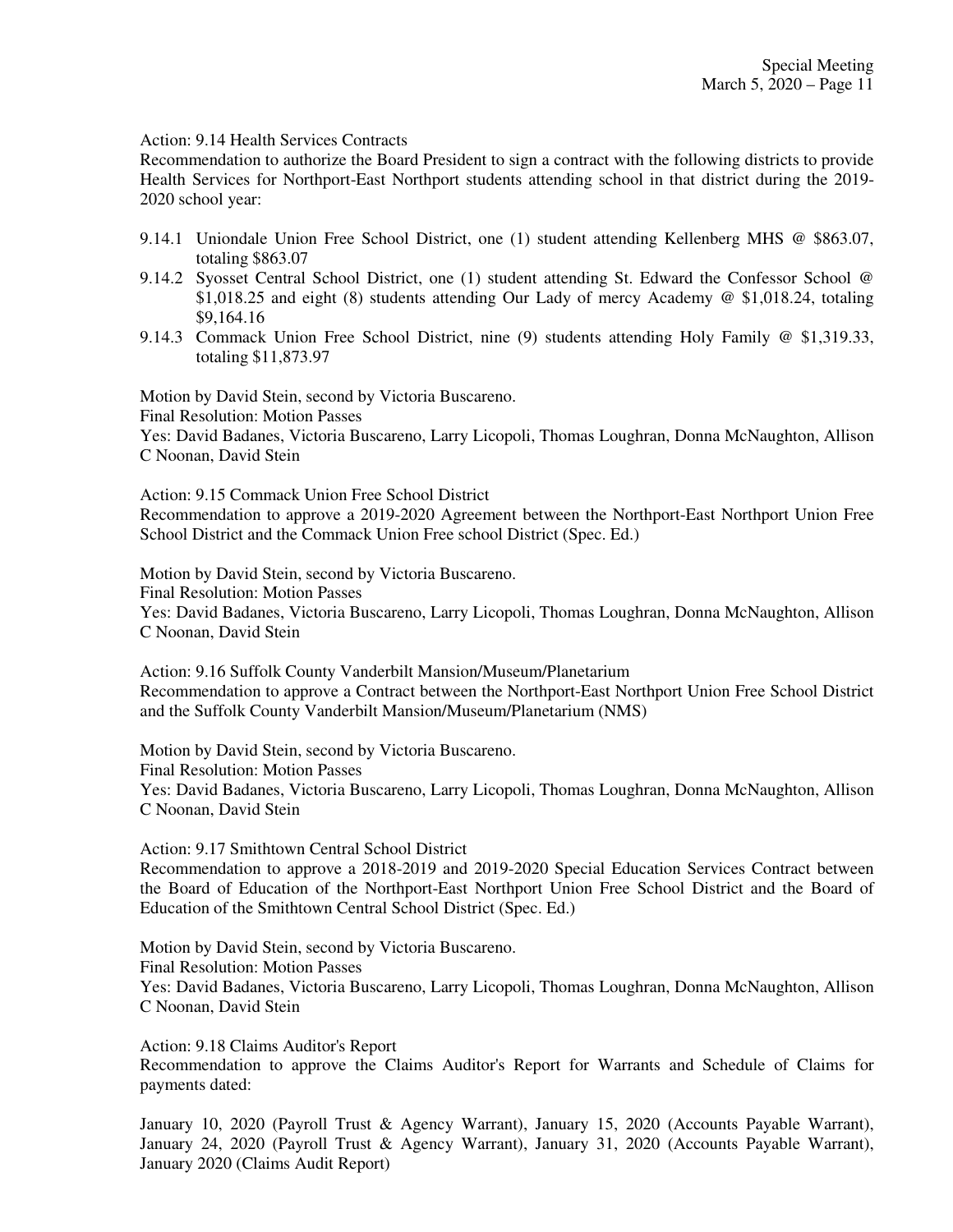Action: 9.14 Health Services Contracts

Recommendation to authorize the Board President to sign a contract with the following districts to provide Health Services for Northport-East Northport students attending school in that district during the 2019- 2020 school year:

- 9.14.1 Uniondale Union Free School District, one (1) student attending Kellenberg MHS @ \$863.07, totaling \$863.07
- 9.14.2 Syosset Central School District, one (1) student attending St. Edward the Confessor School @ \$1,018.25 and eight (8) students attending Our Lady of mercy Academy @ \$1,018.24, totaling \$9,164.16
- 9.14.3 Commack Union Free School District, nine (9) students attending Holy Family @ \$1,319.33, totaling \$11,873.97

Motion by David Stein, second by Victoria Buscareno.

Final Resolution: Motion Passes

Yes: David Badanes, Victoria Buscareno, Larry Licopoli, Thomas Loughran, Donna McNaughton, Allison C Noonan, David Stein

Action: 9.15 Commack Union Free School District

Recommendation to approve a 2019-2020 Agreement between the Northport-East Northport Union Free School District and the Commack Union Free school District (Spec. Ed.)

Motion by David Stein, second by Victoria Buscareno.

Final Resolution: Motion Passes

Yes: David Badanes, Victoria Buscareno, Larry Licopoli, Thomas Loughran, Donna McNaughton, Allison C Noonan, David Stein

Action: 9.16 Suffolk County Vanderbilt Mansion/Museum/Planetarium Recommendation to approve a Contract between the Northport-East Northport Union Free School District and the Suffolk County Vanderbilt Mansion/Museum/Planetarium (NMS)

Motion by David Stein, second by Victoria Buscareno.

Final Resolution: Motion Passes

Yes: David Badanes, Victoria Buscareno, Larry Licopoli, Thomas Loughran, Donna McNaughton, Allison C Noonan, David Stein

Action: 9.17 Smithtown Central School District

Recommendation to approve a 2018-2019 and 2019-2020 Special Education Services Contract between the Board of Education of the Northport-East Northport Union Free School District and the Board of Education of the Smithtown Central School District (Spec. Ed.)

Motion by David Stein, second by Victoria Buscareno. Final Resolution: Motion Passes Yes: David Badanes, Victoria Buscareno, Larry Licopoli, Thomas Loughran, Donna McNaughton, Allison C Noonan, David Stein

Action: 9.18 Claims Auditor's Report

Recommendation to approve the Claims Auditor's Report for Warrants and Schedule of Claims for payments dated:

January 10, 2020 (Payroll Trust & Agency Warrant), January 15, 2020 (Accounts Payable Warrant), January 24, 2020 (Payroll Trust & Agency Warrant), January 31, 2020 (Accounts Payable Warrant), January 2020 (Claims Audit Report)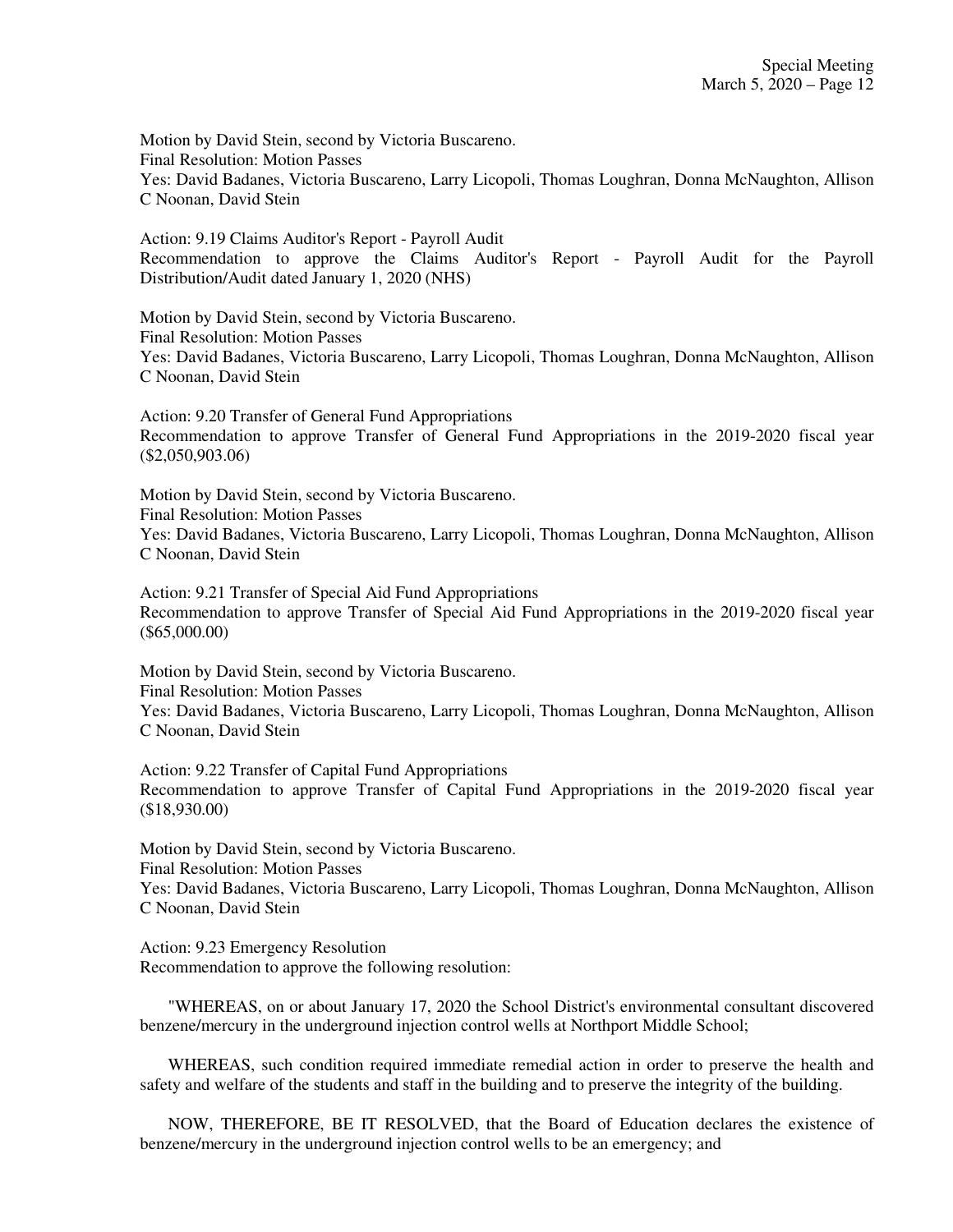Motion by David Stein, second by Victoria Buscareno. Final Resolution: Motion Passes Yes: David Badanes, Victoria Buscareno, Larry Licopoli, Thomas Loughran, Donna McNaughton, Allison C Noonan, David Stein

Action: 9.19 Claims Auditor's Report - Payroll Audit Recommendation to approve the Claims Auditor's Report - Payroll Audit for the Payroll Distribution/Audit dated January 1, 2020 (NHS)

Motion by David Stein, second by Victoria Buscareno. Final Resolution: Motion Passes Yes: David Badanes, Victoria Buscareno, Larry Licopoli, Thomas Loughran, Donna McNaughton, Allison C Noonan, David Stein

Action: 9.20 Transfer of General Fund Appropriations Recommendation to approve Transfer of General Fund Appropriations in the 2019-2020 fiscal year (\$2,050,903.06)

Motion by David Stein, second by Victoria Buscareno. Final Resolution: Motion Passes Yes: David Badanes, Victoria Buscareno, Larry Licopoli, Thomas Loughran, Donna McNaughton, Allison C Noonan, David Stein

Action: 9.21 Transfer of Special Aid Fund Appropriations Recommendation to approve Transfer of Special Aid Fund Appropriations in the 2019-2020 fiscal year (\$65,000.00)

Motion by David Stein, second by Victoria Buscareno. Final Resolution: Motion Passes Yes: David Badanes, Victoria Buscareno, Larry Licopoli, Thomas Loughran, Donna McNaughton, Allison C Noonan, David Stein

Action: 9.22 Transfer of Capital Fund Appropriations Recommendation to approve Transfer of Capital Fund Appropriations in the 2019-2020 fiscal year (\$18,930.00)

Motion by David Stein, second by Victoria Buscareno. Final Resolution: Motion Passes

Yes: David Badanes, Victoria Buscareno, Larry Licopoli, Thomas Loughran, Donna McNaughton, Allison C Noonan, David Stein

Action: 9.23 Emergency Resolution Recommendation to approve the following resolution:

"WHEREAS, on or about January 17, 2020 the School District's environmental consultant discovered benzene/mercury in the underground injection control wells at Northport Middle School;

WHEREAS, such condition required immediate remedial action in order to preserve the health and safety and welfare of the students and staff in the building and to preserve the integrity of the building.

NOW, THEREFORE, BE IT RESOLVED, that the Board of Education declares the existence of benzene/mercury in the underground injection control wells to be an emergency; and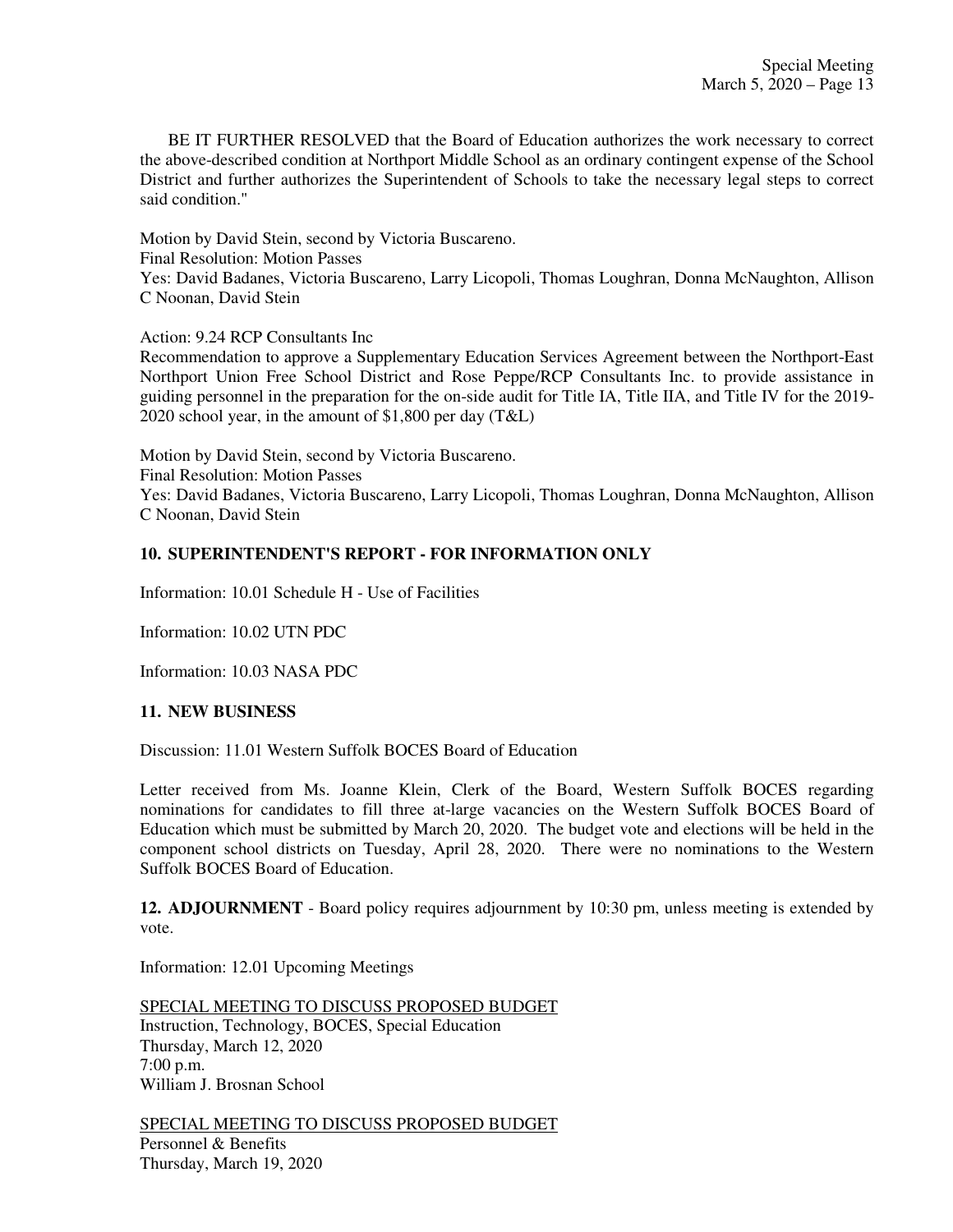BE IT FURTHER RESOLVED that the Board of Education authorizes the work necessary to correct the above-described condition at Northport Middle School as an ordinary contingent expense of the School District and further authorizes the Superintendent of Schools to take the necessary legal steps to correct said condition."

Motion by David Stein, second by Victoria Buscareno. Final Resolution: Motion Passes

Yes: David Badanes, Victoria Buscareno, Larry Licopoli, Thomas Loughran, Donna McNaughton, Allison C Noonan, David Stein

Action: 9.24 RCP Consultants Inc

Recommendation to approve a Supplementary Education Services Agreement between the Northport-East Northport Union Free School District and Rose Peppe/RCP Consultants Inc. to provide assistance in guiding personnel in the preparation for the on-side audit for Title IA, Title IIA, and Title IV for the 2019- 2020 school year, in the amount of \$1,800 per day (T&L)

Motion by David Stein, second by Victoria Buscareno. Final Resolution: Motion Passes Yes: David Badanes, Victoria Buscareno, Larry Licopoli, Thomas Loughran, Donna McNaughton, Allison C Noonan, David Stein

## **10. SUPERINTENDENT'S REPORT - FOR INFORMATION ONLY**

Information: 10.01 Schedule H - Use of Facilities

Information: 10.02 UTN PDC

Information: 10.03 NASA PDC

### **11. NEW BUSINESS**

Discussion: 11.01 Western Suffolk BOCES Board of Education

Letter received from Ms. Joanne Klein, Clerk of the Board, Western Suffolk BOCES regarding nominations for candidates to fill three at-large vacancies on the Western Suffolk BOCES Board of Education which must be submitted by March 20, 2020. The budget vote and elections will be held in the component school districts on Tuesday, April 28, 2020. There were no nominations to the Western Suffolk BOCES Board of Education.

**12. ADJOURNMENT** - Board policy requires adjournment by 10:30 pm, unless meeting is extended by vote.

Information: 12.01 Upcoming Meetings

SPECIAL MEETING TO DISCUSS PROPOSED BUDGET Instruction, Technology, BOCES, Special Education Thursday, March 12, 2020 7:00 p.m. William J. Brosnan School

SPECIAL MEETING TO DISCUSS PROPOSED BUDGET Personnel & Benefits Thursday, March 19, 2020